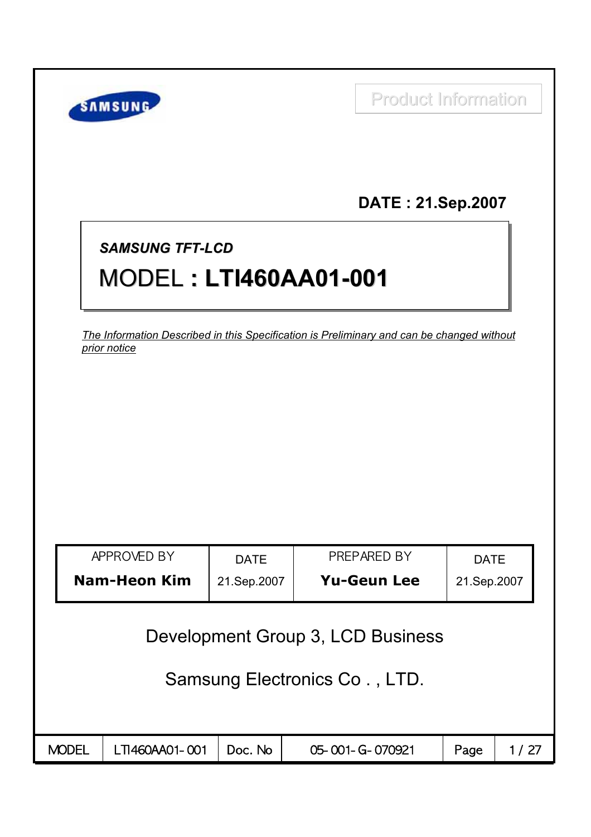| DATE: 21.Sep.2007<br><b>SAMSUNG TFT-LCD</b><br><b>MODEL: LTI460AA01-001</b><br>The Information Described in this Specification is Preliminary and can be changed without<br>prior notice<br>APPROVED BY<br>PREPARED BY<br><b>DATE</b><br><b>DATE</b><br><b>Nam-Heon Kim</b><br><b>Yu-Geun Lee</b><br>21.Sep.2007<br>21.Sep.2007 | <b>Product Information</b><br>SAMSUNG |  |  |                                   |  |  |  |  |  |  |
|---------------------------------------------------------------------------------------------------------------------------------------------------------------------------------------------------------------------------------------------------------------------------------------------------------------------------------|---------------------------------------|--|--|-----------------------------------|--|--|--|--|--|--|
|                                                                                                                                                                                                                                                                                                                                 |                                       |  |  |                                   |  |  |  |  |  |  |
|                                                                                                                                                                                                                                                                                                                                 |                                       |  |  |                                   |  |  |  |  |  |  |
|                                                                                                                                                                                                                                                                                                                                 |                                       |  |  |                                   |  |  |  |  |  |  |
|                                                                                                                                                                                                                                                                                                                                 |                                       |  |  |                                   |  |  |  |  |  |  |
|                                                                                                                                                                                                                                                                                                                                 |                                       |  |  |                                   |  |  |  |  |  |  |
|                                                                                                                                                                                                                                                                                                                                 |                                       |  |  |                                   |  |  |  |  |  |  |
|                                                                                                                                                                                                                                                                                                                                 |                                       |  |  |                                   |  |  |  |  |  |  |
|                                                                                                                                                                                                                                                                                                                                 |                                       |  |  |                                   |  |  |  |  |  |  |
|                                                                                                                                                                                                                                                                                                                                 |                                       |  |  |                                   |  |  |  |  |  |  |
|                                                                                                                                                                                                                                                                                                                                 |                                       |  |  |                                   |  |  |  |  |  |  |
|                                                                                                                                                                                                                                                                                                                                 |                                       |  |  |                                   |  |  |  |  |  |  |
|                                                                                                                                                                                                                                                                                                                                 |                                       |  |  | Development Group 3, LCD Business |  |  |  |  |  |  |
| Samsung Electronics Co., LTD.                                                                                                                                                                                                                                                                                                   |                                       |  |  |                                   |  |  |  |  |  |  |
|                                                                                                                                                                                                                                                                                                                                 |                                       |  |  |                                   |  |  |  |  |  |  |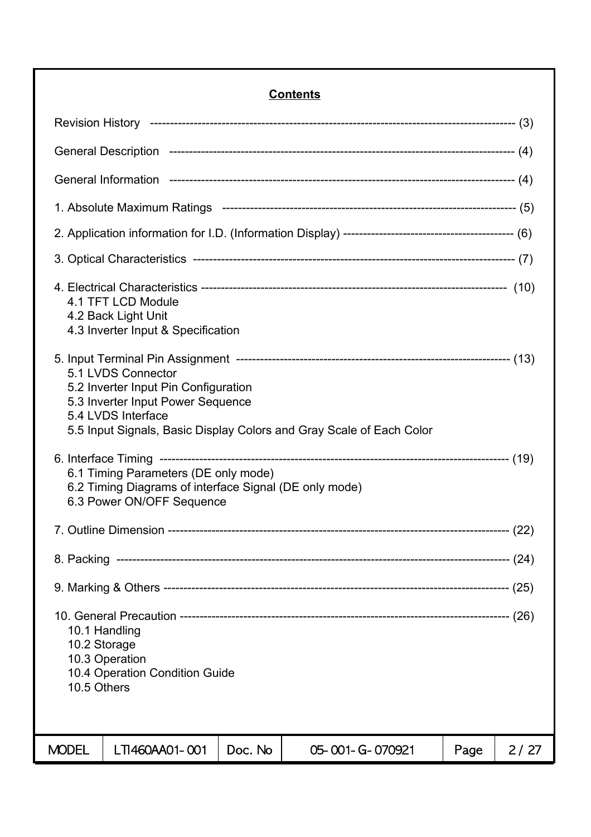# **Contents**

| 4.1 TFT LCD Module<br>4.2 Back Light Unit<br>4.3 Inverter Input & Specification                                                                                                               |         |                 |      |      |  |  |  |
|-----------------------------------------------------------------------------------------------------------------------------------------------------------------------------------------------|---------|-----------------|------|------|--|--|--|
| 5.1 LVDS Connector<br>5.2 Inverter Input Pin Configuration<br>5.3 Inverter Input Power Sequence<br>5.4 LVDS Interface<br>5.5 Input Signals, Basic Display Colors and Gray Scale of Each Color |         |                 |      |      |  |  |  |
| 6.1 Timing Parameters (DE only mode)<br>6.2 Timing Diagrams of interface Signal (DE only mode)<br>6.3 Power ON/OFF Sequence                                                                   |         |                 |      |      |  |  |  |
|                                                                                                                                                                                               |         |                 |      |      |  |  |  |
|                                                                                                                                                                                               |         |                 |      |      |  |  |  |
|                                                                                                                                                                                               |         |                 |      |      |  |  |  |
| 10.1 Handling<br>10.2 Storage<br>10.3 Operation<br>10.4 Operation Condition Guide<br>10.5 Others                                                                                              |         |                 |      |      |  |  |  |
| <b>MODEL</b><br>LTI460AA01-001                                                                                                                                                                | Doc. No | 05-001-G-070921 | Page | 2/27 |  |  |  |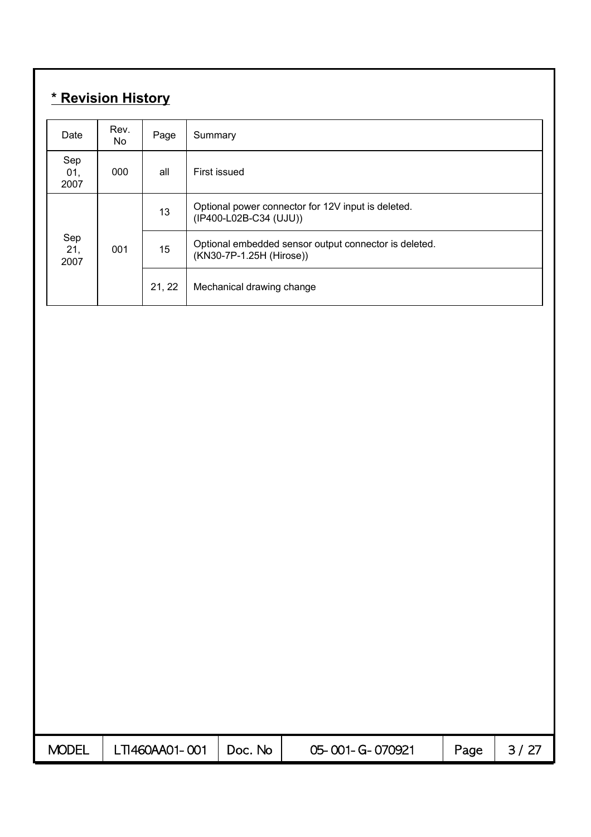# **\* Revision History**

| Date               | Rev.<br>No.               | Page   | Summary                                                                           |
|--------------------|---------------------------|--------|-----------------------------------------------------------------------------------|
| Sep<br>01,<br>2007 | 000                       | all    | First issued                                                                      |
|                    | Sep<br>21,<br>001<br>2007 |        | Optional power connector for 12V input is deleted.<br>(IP400-L02B-C34 (UJU))      |
|                    |                           |        | Optional embedded sensor output connector is deleted.<br>(KN30-7P-1.25H (Hirose)) |
|                    |                           | 21, 22 | Mechanical drawing change                                                         |

| <b>MODEL</b> | LTI460AA01-001 | Doc. No | 05-001-G-070921 | Page |  |
|--------------|----------------|---------|-----------------|------|--|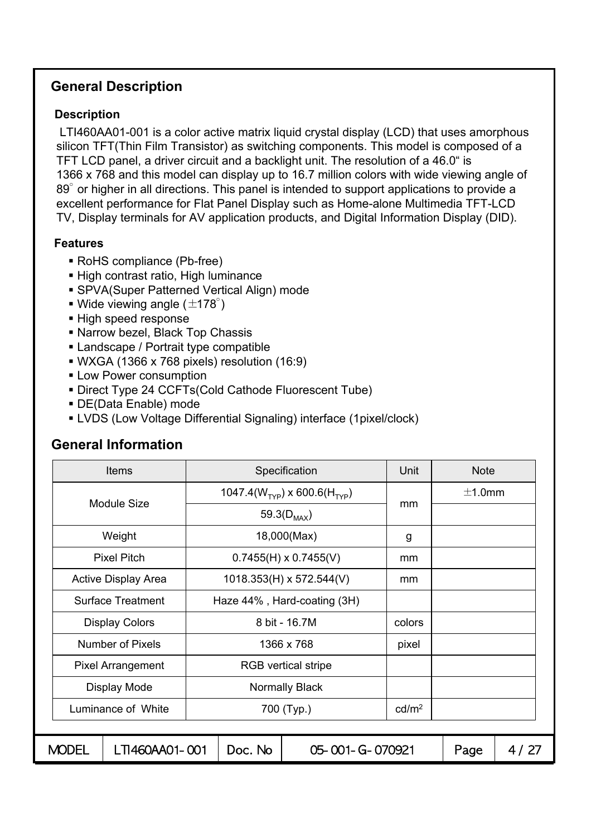# **General Description**

### **Description**

LTI460AA01-001 is a color active matrix liquid crystal display (LCD) that uses amorphous silicon TFT(Thin Film Transistor) as switching components. This model is composed of a TFT LCD panel, a driver circuit and a backlight unit. The resolution of a 46.0" is 1366 x 768 and this model can display up to 16.7 million colors with wide viewing angle of 89<sup>°</sup> or higher in all directions. This panel is intended to support applications to provide a excellent performance for Flat Panel Display such as Home-alone Multimedia TFT-LCD TV, Display terminals for AV application products, and Digital Information Display (DID).

### **Features**

- RoHS compliance (Pb-free)
- High contrast ratio, High luminance
- SPVA(Super Patterned Vertical Align) mode
- Wide viewing angle ( $\pm$ 178°)
- High speed response
- Narrow bezel, Black Top Chassis
- Landscape / Portrait type compatible
- WXGA (1366 x 768 pixels) resolution (16:9)
- **ELOW Power consumption**
- Direct Type 24 CCFTs(Cold Cathode Fluorescent Tube)
- DE(Data Enable) mode
- LVDS (Low Voltage Differential Signaling) interface (1pixel/clock)

|                                  | <b>Items</b>             |                            |         | Specification                            | Unit   | <b>Note</b> |      |
|----------------------------------|--------------------------|----------------------------|---------|------------------------------------------|--------|-------------|------|
|                                  | <b>Module Size</b>       |                            |         | 1047.4( $W_{TYP}$ ) x 600.6( $H_{TYP}$ ) | mm     | $\pm$ 1.0mm |      |
|                                  |                          |                            |         | 59.3( $D_{MAX}$ )                        |        |             |      |
|                                  | Weight                   |                            |         | 18,000(Max)                              | g      |             |      |
|                                  | <b>Pixel Pitch</b>       |                            |         | $0.7455(H) \times 0.7455(V)$             | mm     |             |      |
|                                  | Active Display Area      |                            |         | 1018.353(H) x 572.544(V)                 | mm     |             |      |
|                                  | <b>Surface Treatment</b> |                            |         | Haze 44%, Hard-coating (3H)              |        |             |      |
|                                  | <b>Display Colors</b>    |                            |         | 8 bit - 16.7M                            | colors |             |      |
|                                  | Number of Pixels         |                            |         | 1366 x 768                               | pixel  |             |      |
|                                  | <b>Pixel Arrangement</b> | <b>RGB</b> vertical stripe |         |                                          |        |             |      |
|                                  | Display Mode             | <b>Normally Black</b>      |         |                                          |        |             |      |
| Luminance of White<br>700 (Typ.) |                          | cd/m <sup>2</sup>          |         |                                          |        |             |      |
|                                  |                          |                            |         |                                          |        |             |      |
| <b>MODEL</b>                     | LTI460AA01-001           |                            | Doc. No | 05-001-G-070921                          |        | Page        | 4/27 |

# **General Information**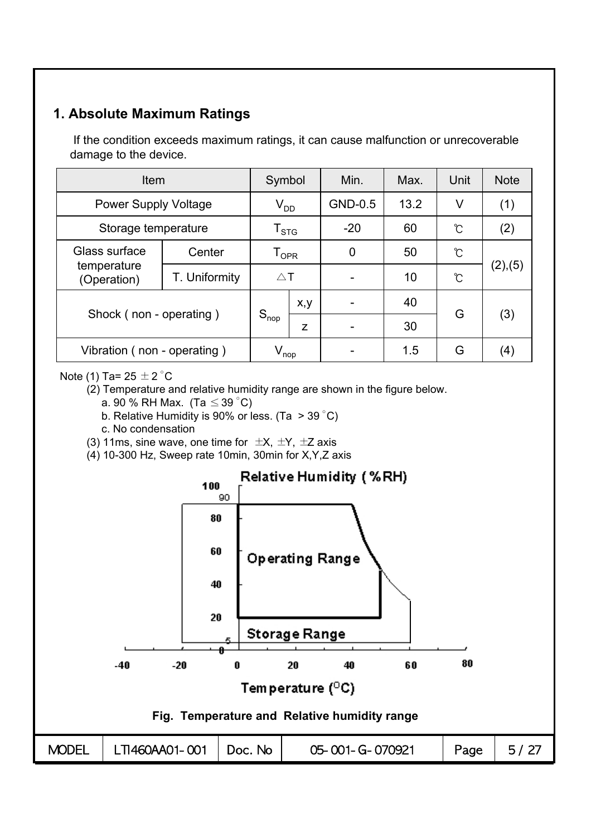# **1. Absolute Maximum Ratings**

If the condition exceeds maximum ratings, it can cause malfunction or unrecoverable damage to the device.

| <b>Item</b>                 | Symbol                      |                    | Min.    | Max.           | Unit | <b>Note</b>   |         |
|-----------------------------|-----------------------------|--------------------|---------|----------------|------|---------------|---------|
| <b>Power Supply Voltage</b> | $\rm V_{DD}$                |                    | GND-0.5 | 13.2           | V    | (1)           |         |
| Storage temperature         | $\mathsf{T}_{\textsf{STG}}$ |                    | $-20$   | 60             | Ĉ    | (2)           |         |
| Glass surface               | Center                      | ${\tt T_{OPR}}$    |         | $\overline{0}$ | 50   | ပ်            |         |
| temperature<br>(Operation)  | T. Uniformity               | $\triangle$ T      |         |                | 10   | $\mathcal{C}$ | (2),(5) |
|                             |                             |                    | x, y    |                | 40   | G             |         |
| Shock (non - operating)     |                             | $S_{\text{nop}}$   | Z       |                | 30   |               | (3)     |
| Vibration (non - operating) |                             | $V_{\mathsf{nop}}$ |         |                | 1.5  | G             | (4)     |

Note (1) Ta=  $25 \pm 2$  °C

- (2) Temperature and relative humidity range are shown in the figure below.
	- a. 90 % RH Max. (Ta  $\leq$  39 °C)
	- b. Relative Humidity is 90% or less. (Ta  $>$  39 °C)
	- c. No condensation
- (3) 11ms, sine wave, one time for  $\pm X$ ,  $\pm Y$ ,  $\pm Z$  axis
- (4) 10-300 Hz, Sweep rate 10min, 30min for X,Y,Z axis

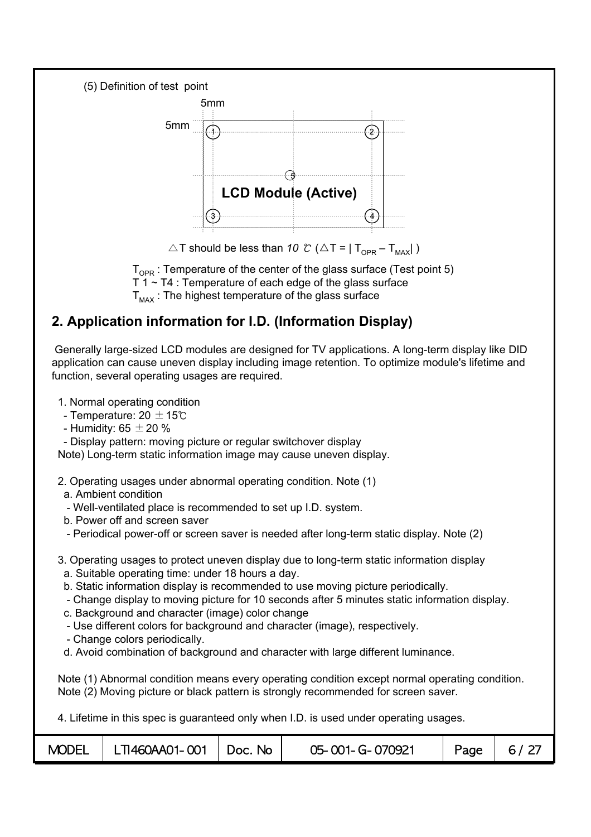

 $\triangle$ T should be less than *10 °C* ( $\triangle$ T = | T<sub>OPP</sub> – T<sub>MAX</sub>|)

 $T_{\text{OPR}}$ : Temperature of the center of the glass surface (Test point 5)  $T_1 - T_4$ : Temperature of each edge of the glass surface  $T_{\text{max}}$ : The highest temperature of the glass surface

# **2. Application information for I.D. (Information Display)**

Generally large-sized LCD modules are designed for TV applications. A long-term display like DID application can cause uneven display including image retention. To optimize module's lifetime and function, several operating usages are required.

- 1. Normal operating condition
- Temperature: 20  $\pm$  15℃
- Humidity:  $65 \pm 20 \%$
- Display pattern: moving picture or regular switchover display

Note) Long-term static information image may cause uneven display.

- 2. Operating usages under abnormal operating condition. Note (1)
- a. Ambient condition
- Well-ventilated place is recommended to set up I.D. system.
- b. Power off and screen saver
- Periodical power-off or screen saver is needed after long-term static display. Note (2)
- 3. Operating usages to protect uneven display due to long-term static information display
	- a. Suitable operating time: under 18 hours a day.
	- b. Static information display is recommended to use moving picture periodically.
	- Change display to moving picture for 10 seconds after 5 minutes static information display.
	- c. Background and character (image) color change
	- Use different colors for background and character (image), respectively.
	- Change colors periodically.
	- d. Avoid combination of background and character with large different luminance.

Note (1) Abnormal condition means every operating condition except normal operating condition. Note (2) Moving picture or black pattern is strongly recommended for screen saver.

4. Lifetime in this spec is guaranteed only when I.D. is used under operating usages.

| <b>MODEL</b> | LTI460AA01-001 | Doc. No | 05-001-G-070921 | Page | 6/27 |
|--------------|----------------|---------|-----------------|------|------|
|--------------|----------------|---------|-----------------|------|------|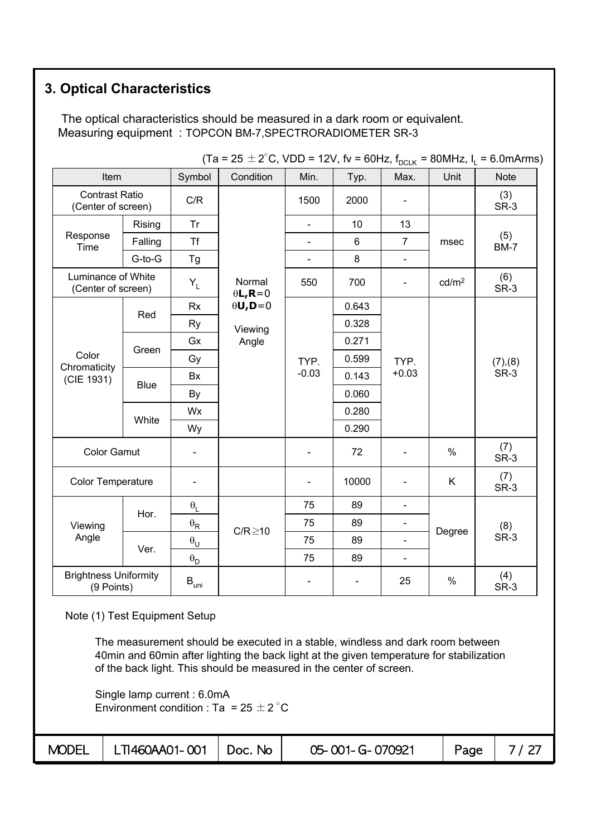# **3. Optical Characteristics**

The optical characteristics should be measured in a dark room or equivalent. Measuring equipment : TOPCON BM-7,SPECTRORADIOMETER SR-3

| Item                                        |                                          | $\cdots$<br>Symbol                 | Condition                       | Min.                     | Typ.                     | JU. , .DCLK<br>Max.      | Unit              | <b>Note</b>        |  |
|---------------------------------------------|------------------------------------------|------------------------------------|---------------------------------|--------------------------|--------------------------|--------------------------|-------------------|--------------------|--|
| <b>Contrast Ratio</b><br>(Center of screen) |                                          | C/R                                |                                 | 1500                     | 2000                     |                          |                   | (3)<br>SR-3        |  |
|                                             | Rising                                   | Tr                                 |                                 | $\overline{a}$           | 10                       | 13                       |                   |                    |  |
| Response<br>Time                            | Falling                                  | <b>Tf</b>                          |                                 | $\blacksquare$           | 6                        | $\overline{7}$           | msec              | (5)<br><b>BM-7</b> |  |
|                                             | G-to-G                                   | Tg                                 |                                 | $\blacksquare$           | 8                        | $\blacksquare$           |                   |                    |  |
|                                             | Luminance of White<br>(Center of screen) |                                    | Normal<br>$\theta L$ , R=0      | 550                      | 700                      | $\overline{\phantom{0}}$ | cd/m <sup>2</sup> | (6)<br>SR-3        |  |
|                                             |                                          | Rx                                 | $\theta$ <b>U</b> , <b>D</b> =0 |                          | 0.643                    |                          |                   |                    |  |
|                                             | Red                                      | Ry                                 | Viewing                         |                          | 0.328                    |                          |                   |                    |  |
|                                             |                                          | Gx                                 | Angle                           |                          | 0.271                    |                          |                   |                    |  |
| Color                                       | Green                                    | Gy                                 |                                 | TYP.                     | 0.599                    | TYP.                     |                   | (7), (8)           |  |
| Chromaticity<br>(CIE 1931)                  |                                          | Bx                                 |                                 | $-0.03$                  | 0.143                    | $+0.03$                  |                   | SR-3               |  |
|                                             | <b>Blue</b>                              | By                                 |                                 |                          | 0.060                    |                          |                   |                    |  |
|                                             |                                          | Wx                                 |                                 |                          | 0.280                    |                          |                   |                    |  |
|                                             | White                                    | Wy                                 |                                 |                          | 0.290                    |                          |                   |                    |  |
| <b>Color Gamut</b>                          |                                          |                                    |                                 |                          | 72                       |                          | $\%$              | (7)<br>SR-3        |  |
| <b>Color Temperature</b>                    |                                          |                                    |                                 |                          | 10000                    |                          | K                 | (7)<br>SR-3        |  |
|                                             |                                          | $\boldsymbol{\theta}_{\mathsf{L}}$ |                                 | 75                       | 89                       | $\overline{\phantom{0}}$ |                   |                    |  |
| Viewing                                     | Hor.                                     | $\theta_{\mathsf{R}}$              |                                 | 75                       | 89                       | $\overline{\phantom{0}}$ |                   | (8)                |  |
| Angle                                       |                                          | $\theta_U$                         | $C/R \ge 10$                    | 75                       | 89                       |                          | Degree            | SR-3               |  |
|                                             | Ver.                                     | $\boldsymbol{\theta}_\mathsf{D}$   |                                 | 75                       | 89                       | $\blacksquare$           |                   |                    |  |
| <b>Brightness Uniformity</b><br>(9 Points)  |                                          | $B_{\text{uni}}$                   |                                 | $\overline{\phantom{0}}$ | $\overline{\phantom{0}}$ | 25                       | $\%$              | (4)<br>SR-3        |  |

 $(Ta = 25 \pm 2^{\circ}$ C, VDD = 12V, fv = 60Hz, f<sub>oolk</sub> = 80MHz, l, = 6.0mArms)

Note (1) Test Equipment Setup

The measurement should be executed in a stable, windless and dark room between 40min and 60min after lighting the back light at the given temperature for stabilization of the back light. This should be measured in the center of screen.

Single lamp current : 6.0mA Environment condition : Ta =  $25 \pm 2^{\circ}$ C

| <b>MODEL</b> | $\mid$ LTI460AA01-001 $\mid$ Doc. No |  | 05-001-G-070921 | Page |  |
|--------------|--------------------------------------|--|-----------------|------|--|
|--------------|--------------------------------------|--|-----------------|------|--|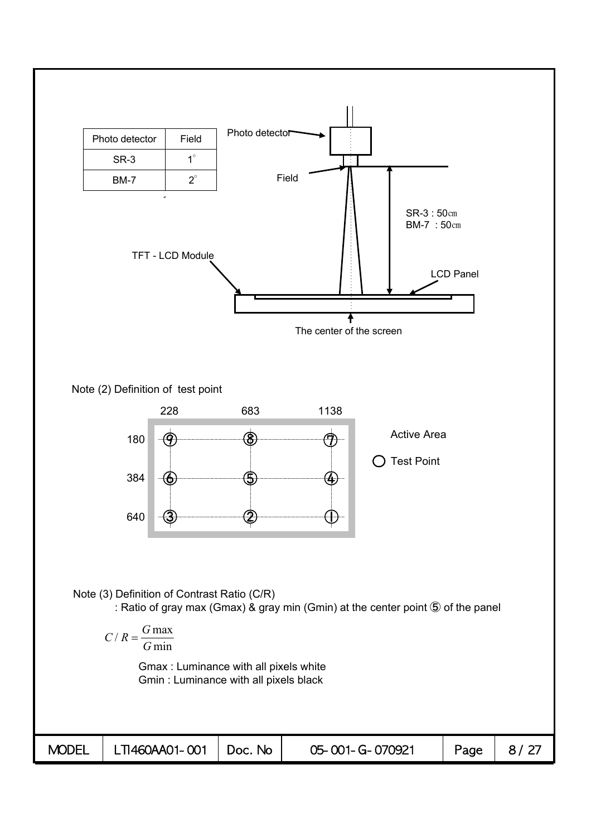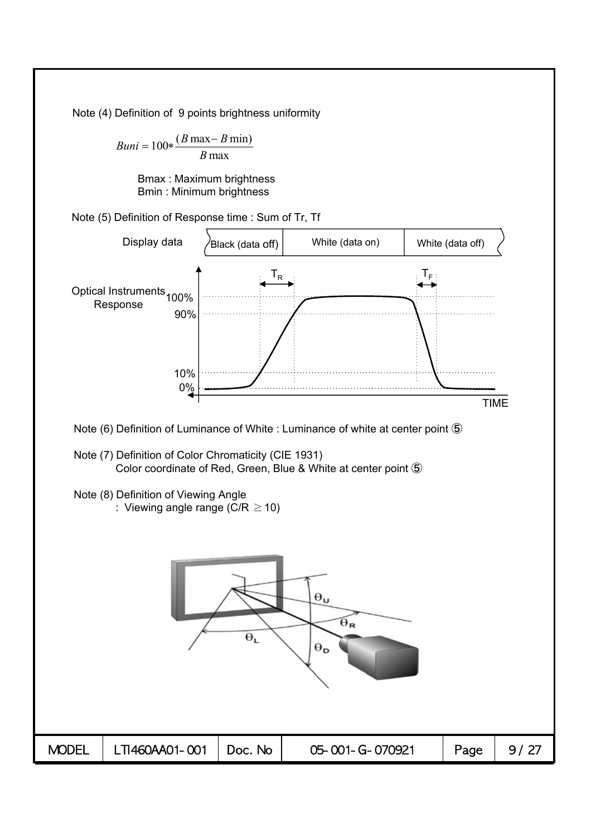Note (4) Definition of 9 points brightness uniformity

 $Buni = 100 * \frac{(B \max - B \min)}{B}$ *B* max

> Bmax : Maximum brightness Bmin : Minimum brightness

Note (5) Definition of Response time : Sum of Tr, Tf

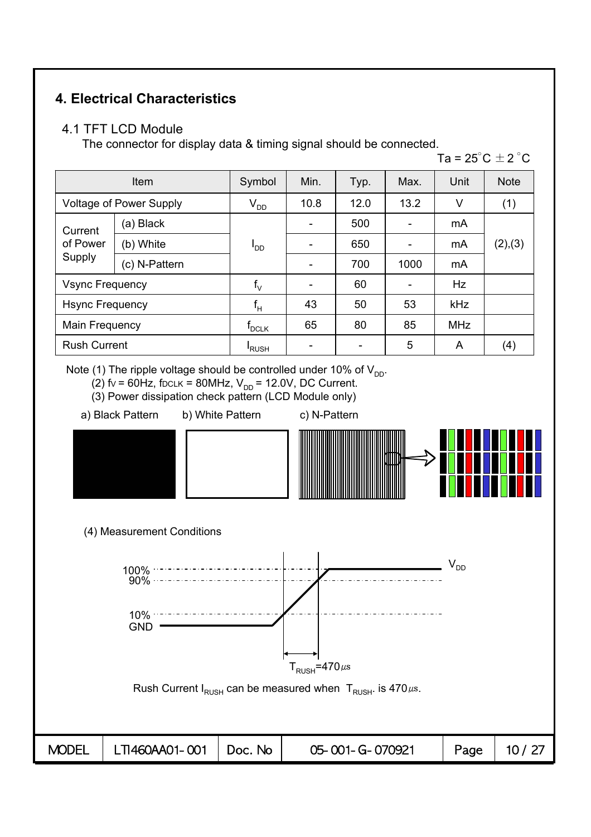# **4. Electrical Characteristics**

### 4.1 TFT LCD Module

The connector for display data & timing signal should be connected.

Ta =  $25^{\circ}$ C  $\pm$  2  $^{\circ}$ C

| Item                          |                                | Symbol                     | Min. | Typ. | Max. | Unit       | <b>Note</b> |
|-------------------------------|--------------------------------|----------------------------|------|------|------|------------|-------------|
|                               | <b>Voltage of Power Supply</b> | $V_{DD}$                   | 10.8 | 12.0 | 13.2 | V          | (1)         |
| Current<br>of Power<br>Supply | (a) Black                      |                            |      | 500  |      | mA         |             |
|                               | (b) White                      | <sup>I</sup> DD            |      | 650  |      | mA         | (2),(3)     |
|                               | (c) N-Pattern                  |                            |      | 700  | 1000 | mA         |             |
| <b>Vsync Frequency</b>        |                                | $f_{\vee}$                 |      | 60   |      | Hz         |             |
| <b>Hsync Frequency</b>        |                                | $f_H$                      | 43   | 50   | 53   | <b>kHz</b> |             |
| Main Frequency                |                                | $f_{\textrm{\tiny{DCLK}}}$ | 65   | 80   | 85   | <b>MHz</b> |             |
| <b>Rush Current</b>           |                                | <b>RUSH</b>                |      |      | 5    | A          | (4)         |

Note (1) The ripple voltage should be controlled under 10% of  $V_{DD}$ .

(2)  $fv = 60Hz$ , fDCLK = 80MHz,  $V_{DD} = 12.0V$ , DC Current.

- (3) Power dissipation check pattern (LCD Module only)
- a) Black Pattern b) White Pattern c) N-Pattern
- 



(4) Measurement Conditions

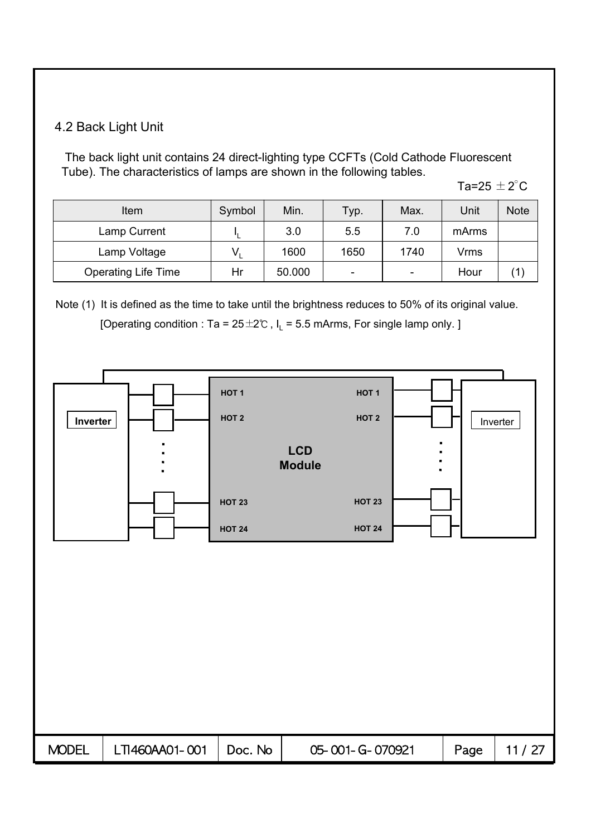# 4.2 Back Light Unit

The back light unit contains 24 direct-lighting type CCFTs (Cold Cathode Fluorescent Tube). The characteristics of lamps are shown in the following tables.

Ta=25  $\pm$  2 $^{\circ}$ C

| Item                       | Symbol | Min.   | Typ. | Max. | Unit  | <b>Note</b> |
|----------------------------|--------|--------|------|------|-------|-------------|
| Lamp Current               |        | 3.0    | 5.5  | 7.0  | mArms |             |
| Lamp Voltage               |        | 1600   | 1650 | 1740 | Vrms  |             |
| <b>Operating Life Time</b> | Hr     | 50.000 |      | -    | Hour  |             |

Note (1) It is defined as the time to take until the brightness reduces to 50% of its original value. [Operating condition : Ta =  $25 \pm 2$ °C, I<sub>L</sub> = 5.5 mArms, For single lamp only. ]

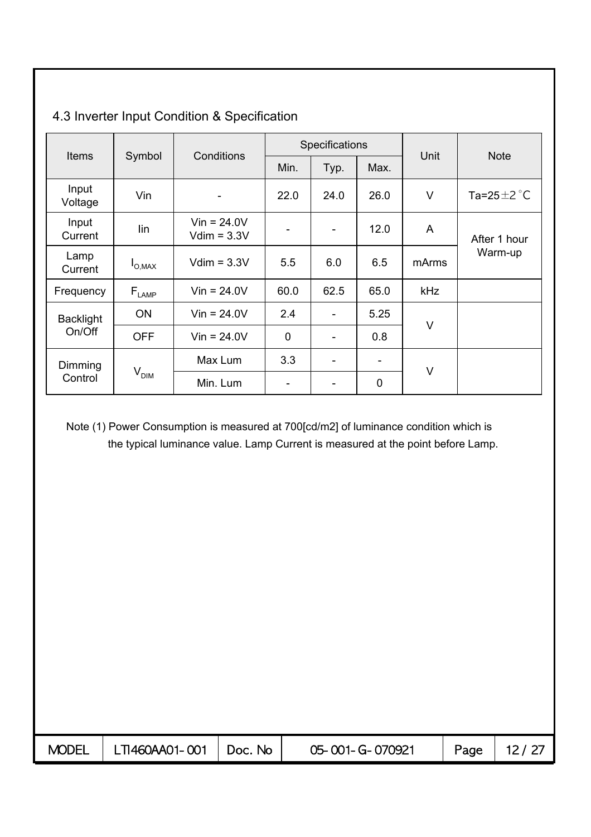|                  |                              | Conditions                      |             | Specifications           |      |            |                           |  |
|------------------|------------------------------|---------------------------------|-------------|--------------------------|------|------------|---------------------------|--|
| <b>Items</b>     | Symbol                       |                                 | Min.        | Typ.                     | Max. | Unit       | <b>Note</b>               |  |
| Input<br>Voltage | Vin                          |                                 | 22.0        | 24.0                     | 26.0 | V          | Ta=25 $\pm$ 2 $\degree$ C |  |
| Input<br>Current | lin                          | $V$ in = 24.0V<br>$Vdim = 3.3V$ | -           | $\overline{\phantom{a}}$ | 12.0 | A          | After 1 hour              |  |
| Lamp<br>Current  | $I_{O,MAX}$                  | $Vdim = 3.3V$                   | 5.5         | 6.0                      | 6.5  | mArms      | Warm-up                   |  |
| Frequency        | $\mathsf{F}_{\textsf{LAMP}}$ | $V$ in = 24.0V                  | 60.0        | 62.5                     | 65.0 | <b>kHz</b> |                           |  |
| <b>Backlight</b> | ON                           | $V$ in = 24.0V                  | 2.4         |                          | 5.25 | V          |                           |  |
| On/Off           | <b>OFF</b>                   | $Vir = 24.0V$                   | $\mathbf 0$ | ۰                        | 0.8  |            |                           |  |
| Dimming          |                              | Max Lum                         | 3.3         | -                        |      | V          |                           |  |
| Control          | V <sub>DIM</sub>             | Min. Lum                        | -           | -                        | 0    |            |                           |  |

# 4.3 Inverter Input Condition & Specification

Note (1) Power Consumption is measured at 700[cd/m2] of luminance condition which is the typical luminance value. Lamp Current is measured at the point before Lamp.

| <b>MODEL</b> | LTI460AA01-001   Doc. No | 05-001-G-070921 | Page, | 12/27 |
|--------------|--------------------------|-----------------|-------|-------|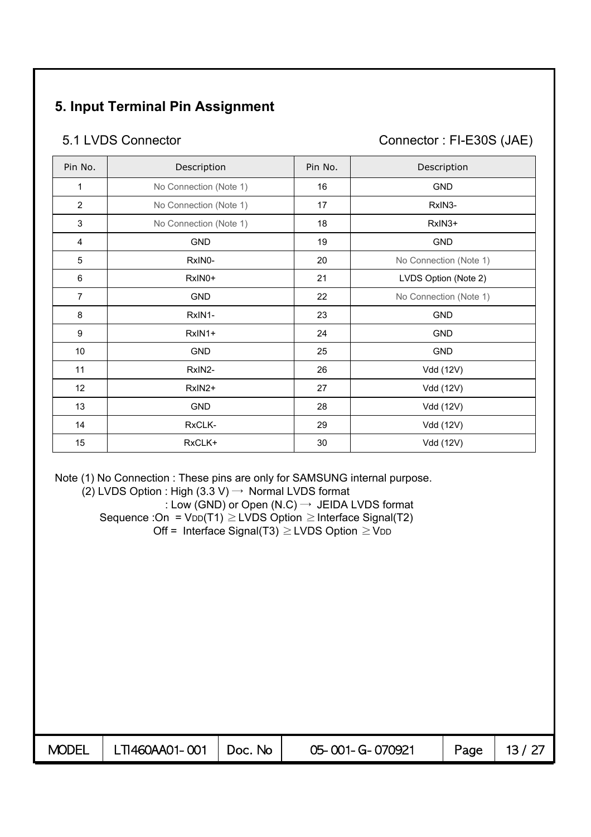# **5. Input Terminal Pin Assignment**

5.1 LVDS Connector Connector : FI-E30S (JAE)

| Pin No.        | Description            | Pin No. | Description            |
|----------------|------------------------|---------|------------------------|
| 1              | No Connection (Note 1) | 16      | <b>GND</b>             |
| $\overline{2}$ | No Connection (Note 1) | 17      | RxIN3-                 |
| 3              | No Connection (Note 1) | 18      | RxIN3+                 |
| 4              | <b>GND</b>             | 19      | <b>GND</b>             |
| 5              | RxIN0-                 | 20      | No Connection (Note 1) |
| 6              | RxIN0+                 | 21      | LVDS Option (Note 2)   |
| $\overline{7}$ | <b>GND</b>             | 22      | No Connection (Note 1) |
| 8              | RxIN1-                 | 23      | <b>GND</b>             |
| 9              | RxIN1+                 | 24      | <b>GND</b>             |
| 10             | <b>GND</b>             | 25      | <b>GND</b>             |
| 11             | RxIN2-                 | 26      | Vdd (12V)              |
| 12             | RxIN2+                 | 27      | Vdd (12V)              |
| 13             | <b>GND</b>             | 28      | Vdd (12V)              |
| 14             | RxCLK-                 | 29      | Vdd (12V)              |
| 15             | RxCLK+                 | 30      | Vdd (12V)              |

Note (1) No Connection : These pins are only for SAMSUNG internal purpose.

 $(2)$  LVDS Option : High  $(3.3 V) \rightarrow$  Normal LVDS format

: Low (GND) or Open (N.C)  $\rightarrow$  JEIDA LVDS format Sequence :On =  $VDD(T1) \ge LVDS$  Option  $\ge Interface$  Signal(T2) Off = Interface Signal(T3)  $\geq$  LVDS Option  $\geq$  V<sub>DD</sub>

| MODEL   LTI460AA01-001   Doc. No | 05-001-G-070921 | Page   13 / 27 |
|----------------------------------|-----------------|----------------|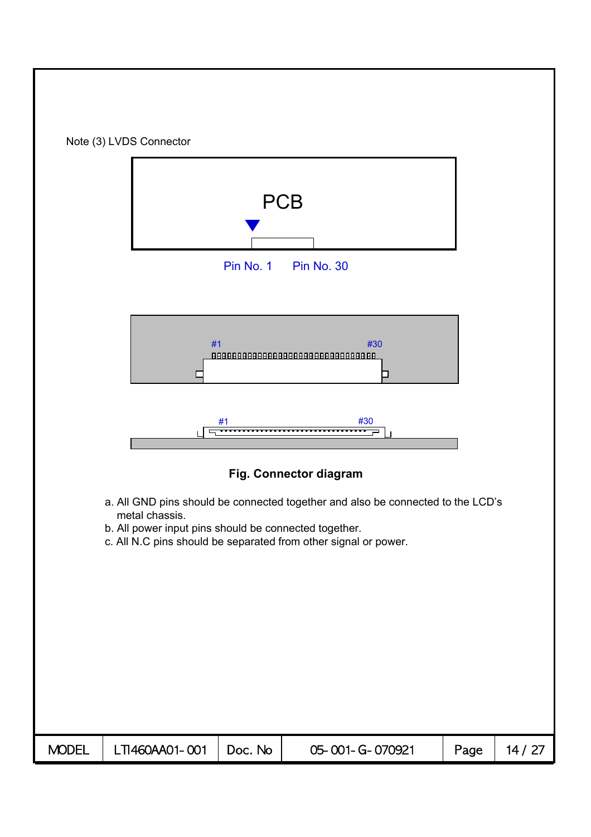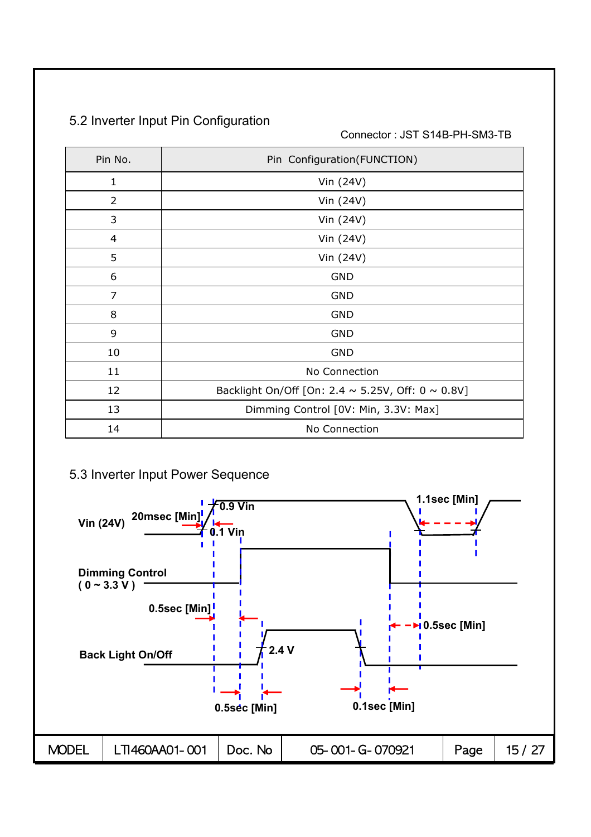|  |  | 5.2 Inverter Input Pin Configuration |
|--|--|--------------------------------------|
|--|--|--------------------------------------|

Connector : JST S14B-PH-SM3-TB

| Pin No.        | Pin Configuration(FUNCTION)                                 |
|----------------|-------------------------------------------------------------|
| 1              | Vin (24V)                                                   |
| 2              | Vin (24V)                                                   |
| 3              | Vin (24V)                                                   |
| 4              | Vin (24V)                                                   |
| 5              | Vin (24V)                                                   |
| 6              | <b>GND</b>                                                  |
| $\overline{7}$ | <b>GND</b>                                                  |
| 8              | <b>GND</b>                                                  |
| 9              | <b>GND</b>                                                  |
| 10             | <b>GND</b>                                                  |
| 11             | No Connection                                               |
| 12             | Backlight On/Off [On: 2.4 $\sim$ 5.25V, Off: 0 $\sim$ 0.8V] |
| 13             | Dimming Control [0V: Min, 3.3V: Max]                        |
| 14             | No Connection                                               |

## 5.3 Inverter Input Power Sequence

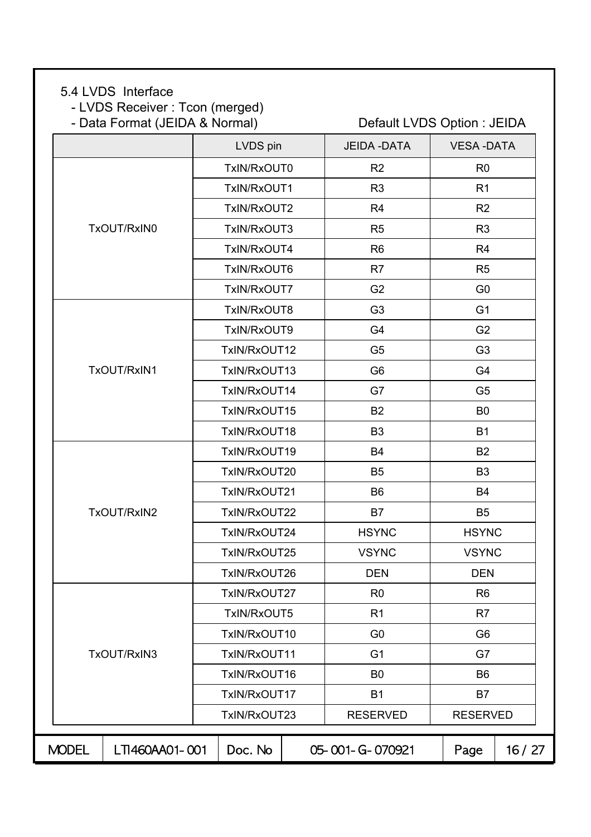### 5.4 LVDS Interface

- LVDS Receiver : Tcon (merged)

- Data Format (JEIDA & Normal) Default LVDS Option : JEIDA

|                                | LVDS pin     | <b>JEIDA - DATA</b> | <b>VESA-DATA</b> |       |
|--------------------------------|--------------|---------------------|------------------|-------|
|                                | TxIN/RxOUT0  | R <sub>2</sub>      | R <sub>0</sub>   |       |
|                                | TxIN/RxOUT1  | R <sub>3</sub>      | R <sub>1</sub>   |       |
|                                | TxIN/RxOUT2  | R <sub>4</sub>      | R <sub>2</sub>   |       |
| TxOUT/RxIN0                    | TxIN/RxOUT3  | R <sub>5</sub>      | R <sub>3</sub>   |       |
|                                | TxIN/RxOUT4  | R <sub>6</sub>      | R <sub>4</sub>   |       |
|                                | TxIN/RxOUT6  | R7                  | R <sub>5</sub>   |       |
|                                | TxIN/RxOUT7  | G <sub>2</sub>      | G <sub>0</sub>   |       |
|                                | TxIN/RxOUT8  | G <sub>3</sub>      | G <sub>1</sub>   |       |
|                                | TxIN/RxOUT9  | G4                  | G <sub>2</sub>   |       |
|                                | TxIN/RxOUT12 | G <sub>5</sub>      | G <sub>3</sub>   |       |
| TxOUT/RxIN1                    | TxIN/RxOUT13 | G <sub>6</sub>      | G4               |       |
|                                | TxIN/RxOUT14 | G7                  | G <sub>5</sub>   |       |
|                                | TxIN/RxOUT15 | B <sub>2</sub>      | B <sub>0</sub>   |       |
|                                | TxIN/RxOUT18 | B <sub>3</sub>      | <b>B1</b>        |       |
|                                | TxIN/RxOUT19 | <b>B4</b>           | <b>B2</b>        |       |
|                                | TxIN/RxOUT20 | B <sub>5</sub>      | B <sub>3</sub>   |       |
|                                | TxIN/RxOUT21 | B <sub>6</sub>      | <b>B4</b>        |       |
| TxOUT/RxIN2                    | TxIN/RxOUT22 | B7                  | B <sub>5</sub>   |       |
|                                | TxIN/RxOUT24 | <b>HSYNC</b>        | <b>HSYNC</b>     |       |
|                                | TxIN/RxOUT25 | <b>VSYNC</b>        | <b>VSYNC</b>     |       |
|                                | TxIN/RxOUT26 | <b>DEN</b>          | <b>DEN</b>       |       |
|                                | TxIN/RxOUT27 | R <sub>0</sub>      | R <sub>6</sub>   |       |
|                                | TxIN/RxOUT5  | R <sub>1</sub>      | R <sub>7</sub>   |       |
|                                | TxIN/RxOUT10 | G <sub>0</sub>      | G <sub>6</sub>   |       |
| TxOUT/RxIN3                    | TxIN/RxOUT11 | G <sub>1</sub>      | G7               |       |
|                                | TxIN/RxOUT16 | B <sub>0</sub>      | B <sub>6</sub>   |       |
|                                | TxIN/RxOUT17 | <b>B1</b>           | B7               |       |
|                                | TxIN/RxOUT23 | <b>RESERVED</b>     | <b>RESERVED</b>  |       |
| <b>MODEL</b><br>LTI460AA01-001 | Doc. No      | 05-001-G-070921     | Page             | 16/27 |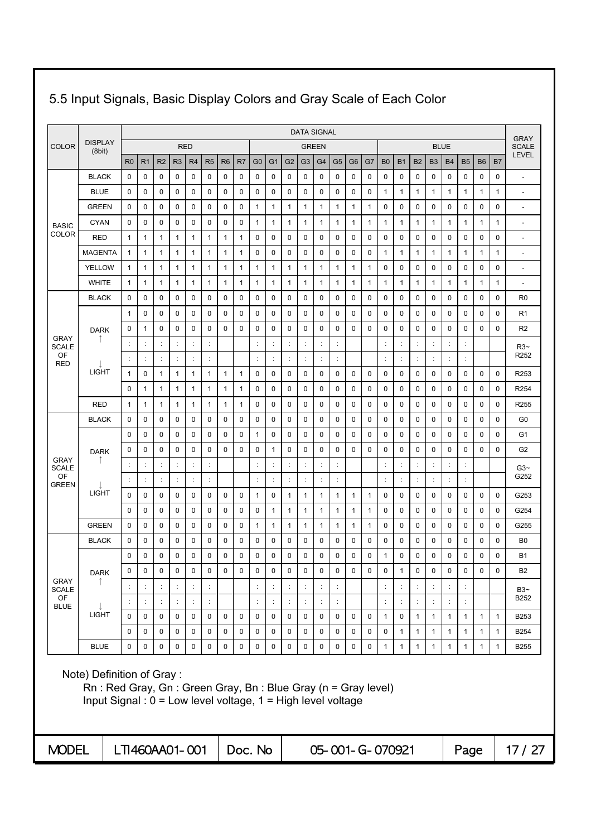|                             |                                                                                                                                                                   |                |                      |                |                |                      |                      |                |    |                      |                      |                |                | <b>DATA SIGNAL</b>   |                      |                 |              |                      |                      |                |                |                |                      |                |              | <b>GRAY</b>              |
|-----------------------------|-------------------------------------------------------------------------------------------------------------------------------------------------------------------|----------------|----------------------|----------------|----------------|----------------------|----------------------|----------------|----|----------------------|----------------------|----------------|----------------|----------------------|----------------------|-----------------|--------------|----------------------|----------------------|----------------|----------------|----------------|----------------------|----------------|--------------|--------------------------|
| <b>COLOR</b>                | <b>DISPLAY</b><br>(8bit)                                                                                                                                          |                |                      |                |                | <b>RED</b>           |                      |                |    |                      |                      |                |                | <b>GREEN</b>         |                      |                 |              |                      |                      |                |                | <b>BLUE</b>    |                      |                |              | <b>SCALE</b>             |
|                             |                                                                                                                                                                   | R <sub>0</sub> | R <sub>1</sub>       | R <sub>2</sub> | R <sub>3</sub> | R <sub>4</sub>       | R <sub>5</sub>       | R <sub>6</sub> | R7 | G <sub>0</sub>       | G <sub>1</sub>       | G <sub>2</sub> | G3             | G4                   | G <sub>5</sub>       | G <sub>6</sub>  | G7           | B <sub>0</sub>       | <b>B1</b>            | <b>B2</b>      | B <sub>3</sub> | <b>B4</b>      | <b>B5</b>            | B <sub>6</sub> | B7           | <b>LEVEL</b>             |
|                             | <b>BLACK</b>                                                                                                                                                      | 0              | 0                    | 0              | 0              | 0                    | 0                    | 0              | 0  | 0                    | 0                    | 0              | 0              | 0                    | 0                    | 0               | 0            | 0                    | 0                    | $\mathbf 0$    | 0              | 0              | 0                    | 0              | 0            | $\overline{\phantom{a}}$ |
|                             | <b>BLUE</b>                                                                                                                                                       | 0              | 0                    | 0              | 0              | 0                    | 0                    | 0              | 0  | 0                    | $\mathbf 0$          | 0              | 0              | 0                    | 0                    | $\mathbf 0$     | $\mathbf 0$  | 1                    | 1                    | 1              | 1              | $\mathbf{1}$   | 1                    | $\mathbf{1}$   | 1            | $\overline{a}$           |
|                             | <b>GREEN</b>                                                                                                                                                      | 0              | 0                    | 0              | $\mathbf 0$    | 0                    | 0                    | 0              | 0  | 1                    | $\mathbf{1}$         | 1              | 1              | $\mathbf{1}$         | 1                    | 1               | $\mathbf{1}$ | 0                    | 0                    | 0              | 0              | 0              | $\mathbf 0$          | 0              | 0            | $\overline{a}$           |
| <b>BASIC</b>                | <b>CYAN</b>                                                                                                                                                       | 0              | $\mathbf 0$          | 0              | 0              | 0                    | 0                    | 0              | 0  | 1                    | 1                    | 1              | 1              | 1                    | 1                    | 1               | 1            | 1                    | 1                    | 1              | 1              | $\mathbf{1}$   | 1                    | $\mathbf{1}$   | 1            | ÷,                       |
| COLOR                       | <b>RED</b>                                                                                                                                                        | 1              | $\mathbf{1}$         | 1              | 1              | 1                    | 1                    | 1              | 1  | 0                    | 0                    | 0              | 0              | 0                    | 0                    | 0               | 0            | 0                    | 0                    | 0              | 0              | 0              | 0                    | 0              | 0            | $\overline{a}$           |
|                             | <b>MAGENTA</b>                                                                                                                                                    | 1              | 1                    | 1              | 1              | 1                    | 1                    | 1              | 1  | 0                    | 0                    | 0              | 0              | 0                    | 0                    | $\mathbf 0$     | 0            | 1                    | $\mathbf{1}$         | 1              | 1              | $\mathbf{1}$   | 1                    | $\mathbf{1}$   | 1            | $\overline{\phantom{a}}$ |
|                             | <b>YELLOW</b>                                                                                                                                                     | 1              | $\mathbf{1}$         | 1              | $\mathbf{1}$   | $\mathbf{1}$         | 1                    | $\mathbf{1}$   | 1  | 1                    | $\mathbf{1}$         | 1              | 1              | 1                    | 1                    | 1               | $\mathbf{1}$ | 0                    | 0                    | 0              | 0              | 0              | 0                    | 0              | 0            | ÷,                       |
|                             | <b>WHITE</b>                                                                                                                                                      | 1              | 1                    | 1              | $\mathbf{1}$   | 1                    | 1                    | 1              | 1  | 1                    | $\mathbf{1}$         | 1              | 1              | 1                    | 1                    | 1               | $\mathbf{1}$ | 1                    | $\mathbf{1}$         | 1              | 1              | 1              | 1                    | 1              | 1            | $\overline{a}$           |
|                             | <b>BLACK</b>                                                                                                                                                      | 0              | $\mathbf 0$          | $\mathbf 0$    | 0              | 0                    | 0                    | 0              | 0  | 0                    | 0                    | $\mathbf 0$    | 0              | $\mathbf 0$          | 0                    | $\mathbf 0$     | 0            | 0                    | 0                    | $\mathbf 0$    | 0              | $\mathbf 0$    | 0                    | 0              | 0            | R <sub>0</sub>           |
|                             |                                                                                                                                                                   | 1              | $\mathbf 0$          | 0              | 0              | 0                    | 0                    | 0              | 0  | 0                    | 0                    | 0              | 0              | 0                    | 0                    | $\mathbf 0$     | $\mathbf 0$  | 0                    | 0                    | 0              | 0              | $\mathbf 0$    | 0                    | $\mathbf 0$    | 0            | R <sub>1</sub>           |
|                             | <b>DARK</b>                                                                                                                                                       | 0              | 1                    | 0              | 0              | 0                    | 0                    | 0              | 0  | 0                    | $\mathbf 0$          | $\mathbf 0$    | 0              | 0                    | 0                    | $\mathbf 0$     | 0            | 0                    | 0                    | $\mathbf 0$    | 0              | $\mathbf 0$    | 0                    | $\mathbf 0$    | 0            | R <sub>2</sub>           |
| <b>GRAY</b><br><b>SCALE</b> |                                                                                                                                                                   | ÷              | ÷                    |                | ÷              | $\ddot{\phantom{a}}$ | ÷                    |                |    | $\ddot{\phantom{a}}$ | ÷                    |                | ÷              | $\ddot{\cdot}$       | ÷                    |                 |              | ÷                    | ÷                    | $\ddot{\cdot}$ |                | ÷              | $\ddot{\phantom{a}}$ |                |              | $R3-$                    |
| OF<br><b>RED</b>            |                                                                                                                                                                   | ÷              | $\ddot{\cdot}$       | ÷              | t,             | $\ddot{\cdot}$       | ÷                    |                |    | ċ                    | ÷                    |                | ÷              | $\vdots$             | $\ddot{\phantom{a}}$ |                 |              | ÷                    | ÷                    |                | ¢              | $\ddot{\cdot}$ | ÷                    |                |              | R <sub>252</sub>         |
|                             | <b>LIGHT</b>                                                                                                                                                      | 1              | 0                    | 1              | 1              | $\mathbf{1}$         | 1                    | 1              | 1  | 0                    | 0                    | 0              | 0              | 0                    | 0                    | 0               | 0            | 0                    | 0                    | 0              | 0              | 0              | 0                    | 0              | 0            | R253                     |
|                             |                                                                                                                                                                   | 0              | $\mathbf{1}$         | 1              | $\mathbf{1}$   | 1                    | 1                    | 1              | 1  | 0                    | 0                    | $\mathbf 0$    | 0              | $\mathbf 0$          | $\mathbf 0$          | $\mathbf 0$     | $\mathbf 0$  | 0                    | 0                    | 0              | 0              | $\mathbf 0$    | 0                    | $\mathbf 0$    | 0            | R <sub>254</sub>         |
|                             | <b>RED</b>                                                                                                                                                        | $\mathbf{1}$   | $\mathbf{1}$         | 1              | 1              | 1                    | 1                    | 1              | 1  | 0                    | 0                    | 0              | 0              | 0                    | 0                    | 0               | 0            | 0                    | 0                    | 0              | 0              | $\mathbf 0$    | 0                    | 0              | 0            | R255                     |
|                             | <b>BLACK</b>                                                                                                                                                      | 0              | 0                    | 0              | 0              | 0                    | 0                    | 0              | 0  | 0                    | 0                    | 0              | 0              | 0                    | 0                    | $\mathbf 0$     | 0            | 0                    | 0                    | 0              | 0              | 0              | 0                    | 0              | 0            | G <sub>0</sub>           |
|                             |                                                                                                                                                                   | 0              | 0                    | 0              | 0              | 0                    | 0                    | 0              | 0  | 1                    | 0                    | 0              | 0              | 0                    | 0                    | 0               | 0            | 0                    | 0                    | 0              | 0              | 0              | 0                    | 0              | 0            | G <sub>1</sub>           |
| <b>GRAY</b>                 | <b>DARK</b>                                                                                                                                                       | 0              | 0                    | 0              | 0              | 0                    | 0                    | 0              | 0  | 0                    | $\mathbf{1}$         | 0              | 0              | 0                    | 0                    | $\mathbf 0$     | 0            | 0                    | 0                    | 0              | 0              | $\mathbf 0$    | 0                    | $\mathbf 0$    | 0            | G <sub>2</sub>           |
| <b>SCALE</b>                |                                                                                                                                                                   | ÷              | ÷                    | ÷              | $\ddot{\cdot}$ | $\ddot{\phantom{a}}$ | t                    |                |    | ÷                    | ÷                    |                | ÷              | $\ddot{\cdot}$       | ċ                    |                 |              | ÷                    | ÷                    | $\ddot{\cdot}$ |                | ÷              | ÷                    |                |              | $G3-$                    |
| OF<br><b>GREEN</b>          |                                                                                                                                                                   | $\ddot{\cdot}$ | $\ddot{\cdot}$       | $\ddot{\cdot}$ |                | $\ddot{.}$           | $\ddot{\phantom{a}}$ |                |    | $\ddot{\cdot}$       | $\ddot{\phantom{a}}$ | $\ddot{\cdot}$ | $\ddot{\cdot}$ | $\ddot{\cdot}$       | $\vdots$             |                 |              | $\ddot{\cdot}$       | $\ddot{\phantom{a}}$ | $\ddot{\cdot}$ |                | $\ddot{\cdot}$ | $\ddot{\phantom{a}}$ |                |              | G252                     |
|                             | <b>LIGHT</b>                                                                                                                                                      | 0              | $\mathbf 0$          | 0              | 0              | 0                    | 0                    | 0              | 0  | 1                    | $\mathbf 0$          | 1              | 1              | 1                    | 1                    | 1               | $\mathbf{1}$ | 0                    | $\mathbf 0$          | $\mathbf 0$    | 0              | $\mathbf 0$    | 0                    | 0              | 0            | G253                     |
|                             |                                                                                                                                                                   | 0              | 0                    | 0              | 0              | 0                    | 0                    | 0              | 0  | 0                    | 1                    | 1              | 1              | 1                    | 1                    | 1               | $\mathbf{1}$ | 0                    | 0                    | 0              | 0              | 0              | 0                    | 0              | 0            | G254                     |
|                             | <b>GREEN</b>                                                                                                                                                      | 0              | $\mathbf 0$          | 0              | $\mathbf 0$    | 0                    | 0                    | 0              | 0  | 1                    | 1                    | 1              | 1              | 1                    | 1                    | 1               | $\mathbf{1}$ | 0                    | 0                    | 0              | 0              | $\mathbf 0$    | 0                    | $\mathbf 0$    | 0            | G255                     |
|                             | <b>BLACK</b>                                                                                                                                                      | 0              | 0                    | 0              | 0              | 0                    | 0                    | 0              | 0  | 0                    | 0                    | 0              | 0              | 0                    | 0                    | 0               | 0            | 0                    | 0                    | 0              | 0              | 0              | 0                    | 0              | 0            | B0                       |
|                             |                                                                                                                                                                   | 0              | 0                    | 0              | 0              | 0                    | 0                    | 0              | 0  | 0                    | 0                    | $\mathbf 0$    | 0              | 0                    | 0                    | $\mathbf 0$     | 0            | 1                    | 0                    | 0              | 0              | $\mathbf 0$    | 0                    | $\mathbf 0$    | 0            | <b>B1</b>                |
| <b>GRAY</b>                 | <b>DARK</b>                                                                                                                                                       | 0              | 0                    | 0              | 0              | 0                    | $\mathbf 0$          | 0              | 0  | 0                    | 0                    | 0              | 0              | 0                    | 0                    | $\mathbf 0$     | 0            | 0                    | $\mathbf{1}$         | 0              | 0              | 0              | 0                    | 0              | 0            | B <sub>2</sub>           |
| <b>SCALE</b><br>OF          |                                                                                                                                                                   |                | ÷                    |                |                | $\ddot{\phantom{a}}$ | ÷                    |                |    |                      | ÷                    |                |                | $\ddot{\cdot}$       |                      |                 |              | $\ddot{\phantom{a}}$ | ÷                    |                |                | ÷              |                      |                |              | $B3-$                    |
| <b>BLUE</b>                 |                                                                                                                                                                   | ÷              | $\ddot{\phantom{a}}$ | $\ddot{\cdot}$ | ÷              | $\ddot{\phantom{a}}$ | $\ddot{\ddot{}}$     |                |    | $\ddot{\cdot}$       | ÷                    | $\ddot{\cdot}$ |                | $\ddot{\phantom{a}}$ | $\ddot{\cdot}$       |                 |              | ÷                    | ÷                    | ÷              | ÷              | ÷              | ÷                    |                |              | B252                     |
|                             | <b>LIGHT</b>                                                                                                                                                      | $\mathbf 0$    | 0                    | $\pmb{0}$      | 0              | 0                    | 0                    | 0              | 0  | 0                    | 0                    | $\pmb{0}$      | 0              | $\pmb{0}$            | 0                    | $\mathbf 0$     | 0            | $\mathbf{1}$         | 0                    | $\mathbf{1}$   | $\mathbf{1}$   | $\mathbf{1}$   | $\mathbf{1}$         | $\mathbf{1}$   | $\mathbf{1}$ | B253                     |
|                             |                                                                                                                                                                   | 0              | $\pmb{0}$            | 0              | 0              | 0                    | 0                    | 0              | 0  | 0                    | 0                    | $\mathsf 0$    | 0              | $\pmb{0}$            | 0                    | $\pmb{0}$       | 0            | 0                    | $\mathbf{1}$         | $\mathbf{1}$   | $\mathbf{1}$   | $\mathbf{1}$   | $\mathbf{1}$         | $\mathbf{1}$   | $\mathbf{1}$ | <b>B254</b>              |
|                             | <b>BLUE</b>                                                                                                                                                       | 0              | 0                    | $\mathbf 0$    | 0              | 0                    | 0                    | 0              | 0  | 0                    | 0                    | $\mathbf 0$    | 0              | $\pmb{0}$            | 0                    | 0               | 0            | 1                    | $\mathbf{1}$         | $\mathbf{1}$   | $\mathbf{1}$   | $\mathbf{1}$   | 1                    | $\mathbf{1}$   | $\mathbf{1}$ | <b>B255</b>              |
|                             | Note) Definition of Gray:<br>$Rn$ : Red Gray, Gn : Green Gray, Bn : Blue Gray (n = Gray level)<br>Input Signal: $0 = Low$ level voltage, $1 = High$ level voltage |                |                      |                |                |                      |                      |                |    |                      |                      |                |                |                      |                      |                 |              |                      |                      |                |                |                |                      |                |              |                          |
| <b>MODEL</b>                |                                                                                                                                                                   | LTI460AA01-001 |                      |                |                |                      |                      |                |    | Doc. No              |                      |                |                |                      |                      | 05-001-G-070921 |              |                      |                      |                |                |                | Page                 |                |              | 17/27                    |

# 5.5 Input Signals, Basic Display Colors and Gray Scale of Each Color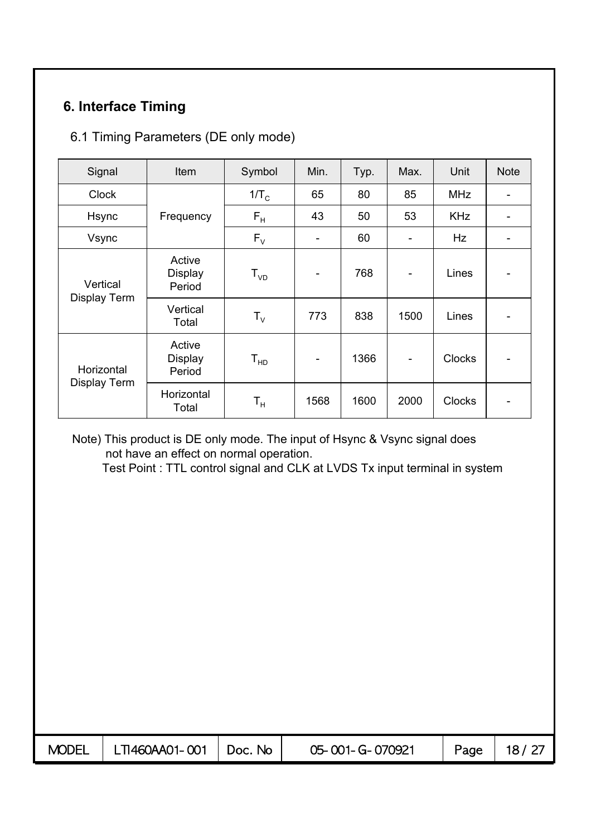# **6. Interface Timing**

# 6.1 Timing Parameters (DE only mode)

| Signal       | Item                               | Symbol                  | Min.                         | Typ. | Max.                     | Unit          | <b>Note</b> |
|--------------|------------------------------------|-------------------------|------------------------------|------|--------------------------|---------------|-------------|
| <b>Clock</b> |                                    | $1/T_c$                 | 65                           | 80   | 85                       | <b>MHz</b>    |             |
| Hsync        | Frequency                          | $F_H$                   | 43                           | 50   | 53                       | <b>KHz</b>    |             |
| Vsync        |                                    | $F_{V}$                 | $\overline{\phantom{0}}$     | 60   |                          | Hz            |             |
| Vertical     | Active<br><b>Display</b><br>Period | $T_{VD}$                | $\qquad \qquad \blacksquare$ | 768  | $\overline{\phantom{a}}$ | Lines         |             |
| Display Term | Vertical<br>Total                  | $T_{V}$                 | 773                          | 838  | 1500                     | Lines         |             |
| Horizontal   | Active<br><b>Display</b><br>Period | $T_{HD}$                | -                            | 1366 | $\overline{\phantom{a}}$ | <b>Clocks</b> |             |
| Display Term | Horizontal<br>Total                | $\mathsf{T}_\mathsf{H}$ | 1568                         | 1600 | 2000                     | <b>Clocks</b> |             |

Note) This product is DE only mode. The input of Hsync & Vsync signal does not have an effect on normal operation.

Test Point : TTL control signal and CLK at LVDS Tx input terminal in system

| $MODEL$   LTI460AA01-001   Doc. No | 05-001-G-070921 | Page, | 18/27 |
|------------------------------------|-----------------|-------|-------|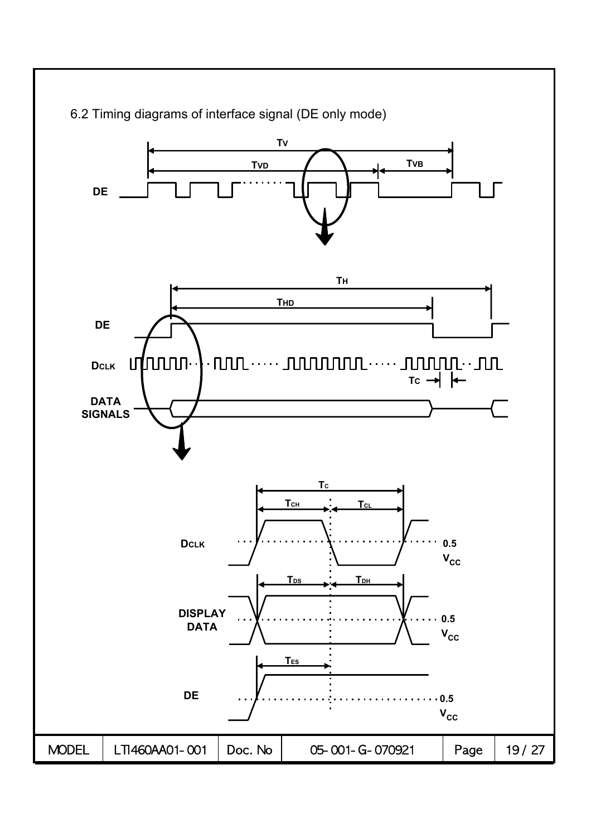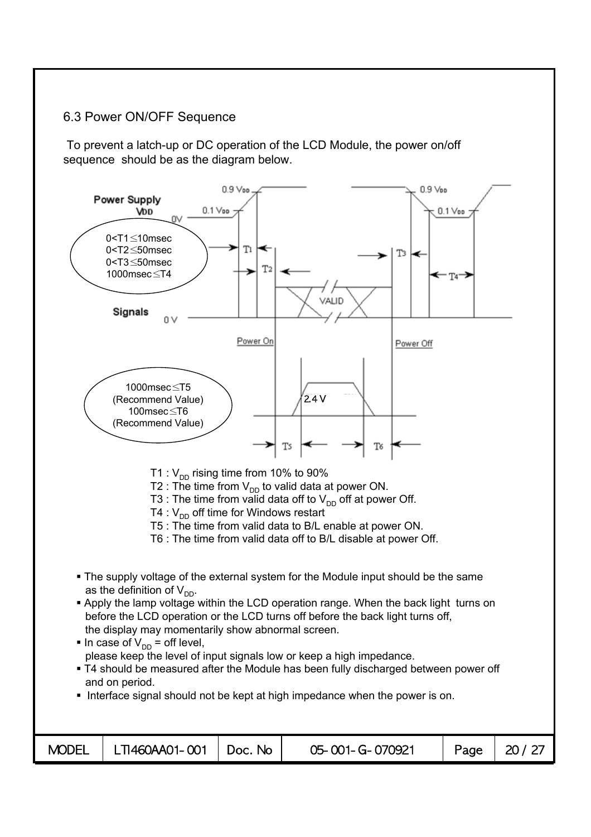### 6.3 Power ON/OFF Sequence

To prevent a latch-up or DC operation of the LCD Module, the power on/off sequence should be as the diagram below.

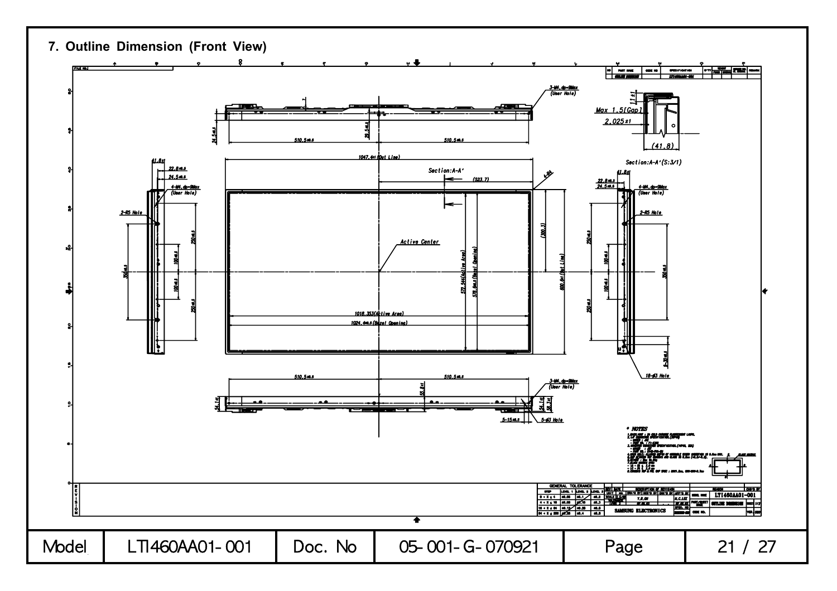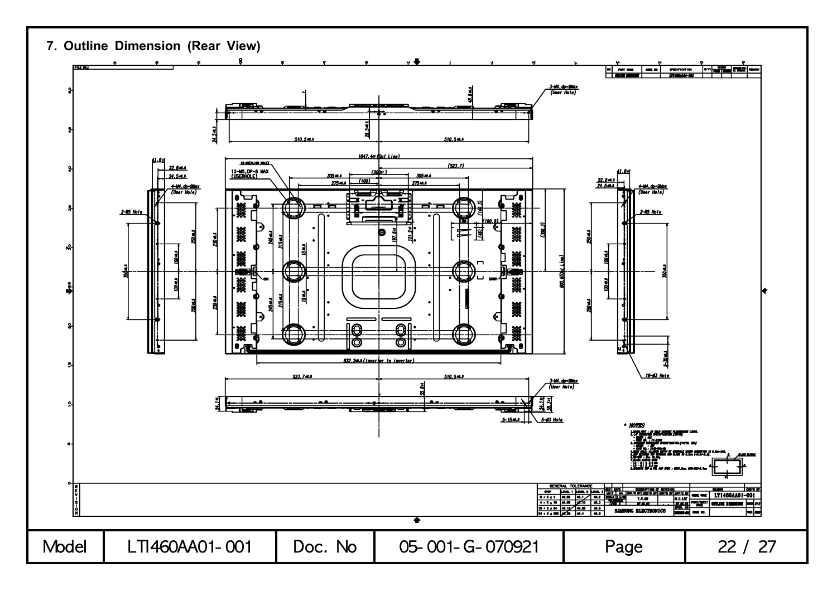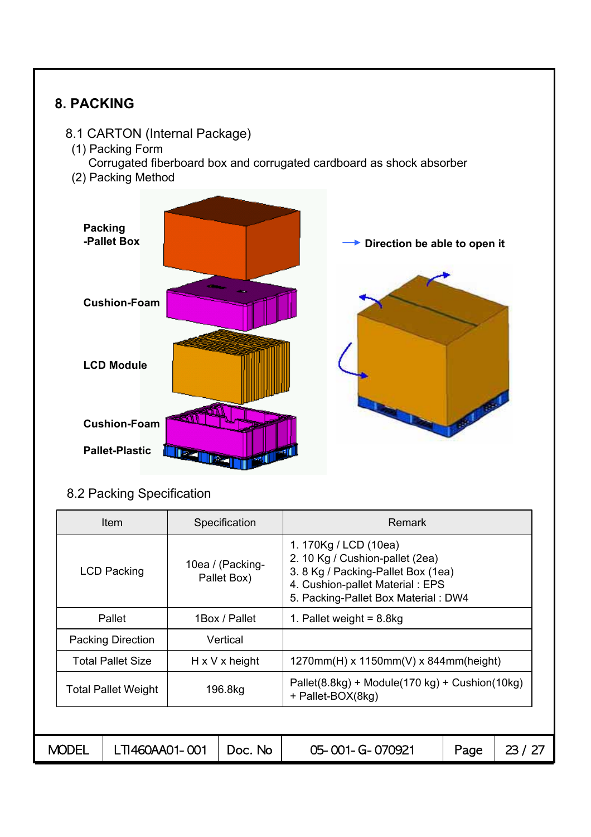

|              | <b>Item</b>              | Specification                   | <b>Remark</b>                                                                                                                                                            |      |       |  |  |  |
|--------------|--------------------------|---------------------------------|--------------------------------------------------------------------------------------------------------------------------------------------------------------------------|------|-------|--|--|--|
|              | <b>LCD Packing</b>       | 10ea / (Packing-<br>Pallet Box) | 1. 170Kg / LCD (10ea)<br>2. 10 Kg / Cushion-pallet (2ea)<br>3. 8 Kg / Packing-Pallet Box (1ea)<br>4. Cushion-pallet Material: EPS<br>5. Packing-Pallet Box Material: DW4 |      |       |  |  |  |
|              | Pallet                   | 1Box / Pallet                   | 1. Pallet weight = $8.8kg$                                                                                                                                               |      |       |  |  |  |
|              | <b>Packing Direction</b> | Vertical                        |                                                                                                                                                                          |      |       |  |  |  |
|              | <b>Total Pallet Size</b> | $H \times V \times$ height      | $1270mm(H)$ x 1150mm(V) x 844mm(height)                                                                                                                                  |      |       |  |  |  |
|              | Total Pallet Weight      | 196.8kg                         | Pallet(8.8kg) + Module(170 kg) + Cushion(10kg)<br>+ Pallet-BOX(8kg)                                                                                                      |      |       |  |  |  |
|              |                          |                                 |                                                                                                                                                                          |      |       |  |  |  |
| <b>MODEL</b> | LTI460AA01-001           | Doc. No                         | 05-001-G-070921                                                                                                                                                          | Page | 23/27 |  |  |  |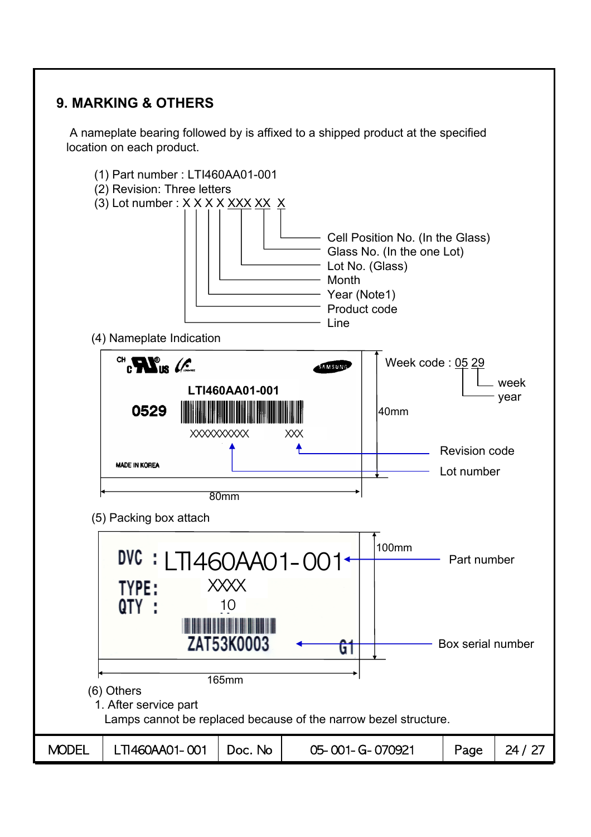# **9. MARKING & OTHERS**

A nameplate bearing followed by is affixed to a shipped product at the specified location on each product.

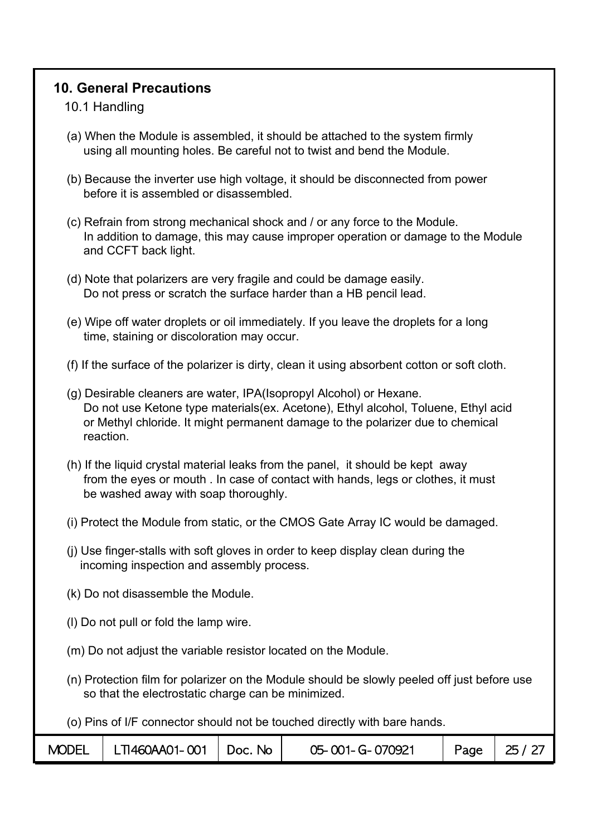# **10. General Precautions**

### 10.1 Handling

- (a) When the Module is assembled, it should be attached to the system firmly using all mounting holes. Be careful not to twist and bend the Module.
- (b) Because the inverter use high voltage, it should be disconnected from power before it is assembled or disassembled.
- (c) Refrain from strong mechanical shock and / or any force to the Module. In addition to damage, this may cause improper operation or damage to the Module and CCFT back light.
- (d) Note that polarizers are very fragile and could be damage easily. Do not press or scratch the surface harder than a HB pencil lead.
- (e) Wipe off water droplets or oil immediately. If you leave the droplets for a long time, staining or discoloration may occur.
- (f) If the surface of the polarizer is dirty, clean it using absorbent cotton or soft cloth.
- (g) Desirable cleaners are water, IPA(Isopropyl Alcohol) or Hexane. Do not use Ketone type materials(ex. Acetone), Ethyl alcohol, Toluene, Ethyl acid or Methyl chloride. It might permanent damage to the polarizer due to chemical reaction.
- (h) If the liquid crystal material leaks from the panel, it should be kept away from the eyes or mouth . In case of contact with hands, legs or clothes, it must be washed away with soap thoroughly.
- (i) Protect the Module from static, or the CMOS Gate Array IC would be damaged.
- (j) Use finger-stalls with soft gloves in order to keep display clean during the incoming inspection and assembly process.
- (k) Do not disassemble the Module.
- (l) Do not pull or fold the lamp wire.
- (m) Do not adjust the variable resistor located on the Module.
- (n) Protection film for polarizer on the Module should be slowly peeled off just before use so that the electrostatic charge can be minimized.

(o) Pins of I/F connector should not be touched directly with bare hands.

| <b>MODEL</b> | LTI460AA01-001 | Doc. No | 05-001-G-070921 | Page | 25 / 27 |
|--------------|----------------|---------|-----------------|------|---------|
|--------------|----------------|---------|-----------------|------|---------|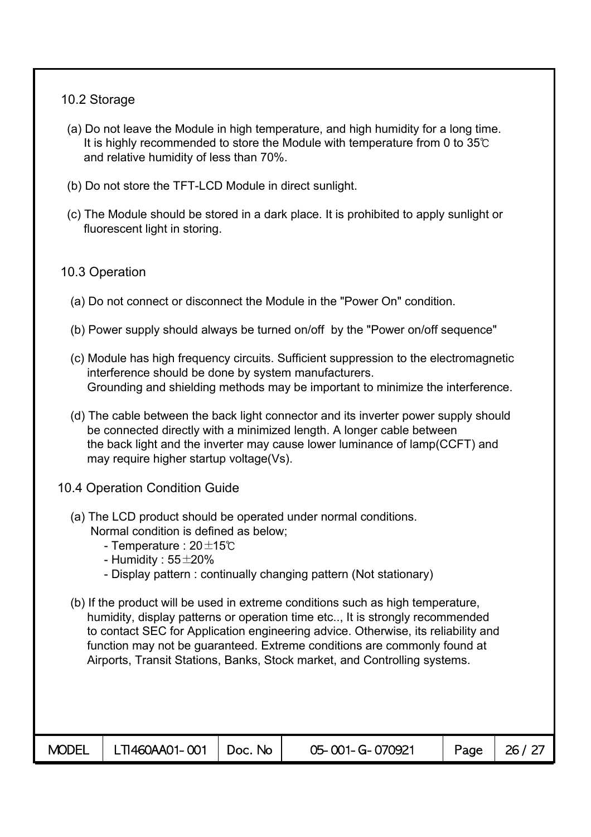### 10.2 Storage

- (a) Do not leave the Module in high temperature, and high humidity for a long time. It is highly recommended to store the Module with temperature from 0 to 35℃ and relative humidity of less than 70%.
- (b) Do not store the TFT-LCD Module in direct sunlight.
- (c) The Module should be stored in a dark place. It is prohibited to apply sunlight or fluorescent light in storing.

### 10.3 Operation

- (a) Do not connect or disconnect the Module in the "Power On" condition.
- (b) Power supply should always be turned on/off by the "Power on/off sequence"
- (c) Module has high frequency circuits. Sufficient suppression to the electromagnetic interference should be done by system manufacturers. Grounding and shielding methods may be important to minimize the interference.
- (d) The cable between the back light connector and its inverter power supply should be connected directly with a minimized length. A longer cable between the back light and the inverter may cause lower luminance of lamp(CCFT) and may require higher startup voltage(Vs).
- 10.4 Operation Condition Guide
	- (a) The LCD product should be operated under normal conditions. Normal condition is defined as below;
		- Temperature : 20±15℃
		- Humidity :  $55\pm20\%$
		- Display pattern : continually changing pattern (Not stationary)
	- (b) If the product will be used in extreme conditions such as high temperature, humidity, display patterns or operation time etc.., It is strongly recommended to contact SEC for Application engineering advice. Otherwise, its reliability and function may not be guaranteed. Extreme conditions are commonly found at Airports, Transit Stations, Banks, Stock market, and Controlling systems.

|--|